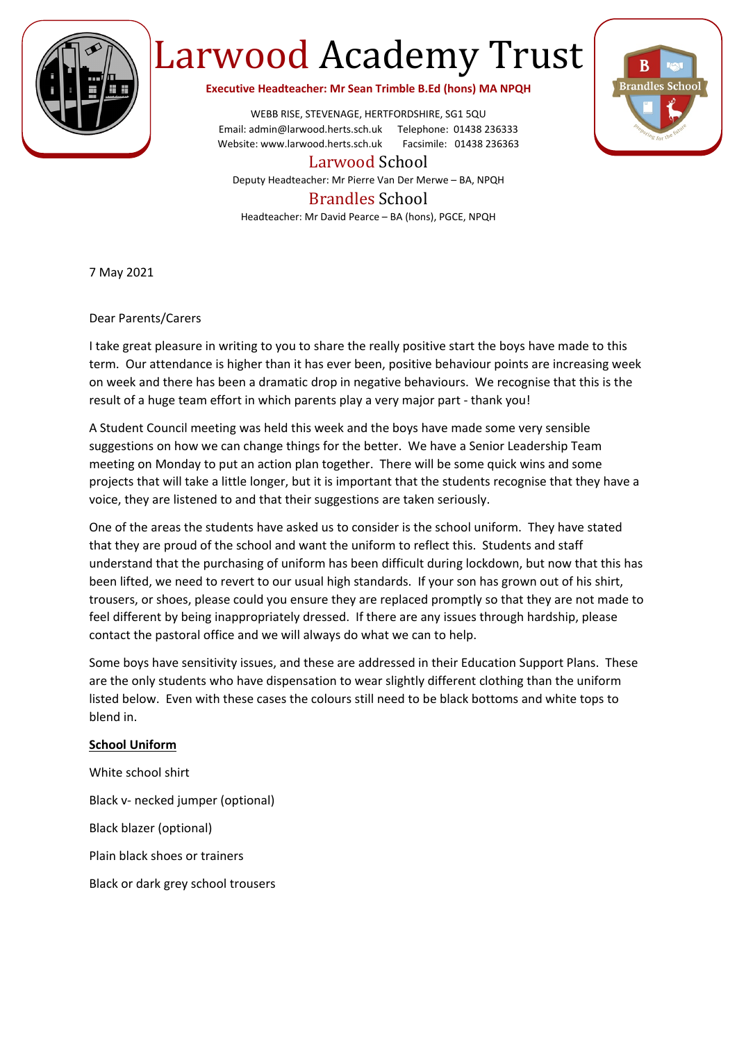

## Larwood Academy Trust

**Executive Headteacher: Mr Sean Trimble B.Ed (hons) MA NPQH**

WEBB RISE, STEVENAGE, HERTFORDSHIRE, SG1 5QU Email: admin@larwood.herts.sch.uk Telephone: 01438 236333 Website: www.larwood.herts.sch.uk Facsimile: 01438 236363

Larwood School

Deputy Headteacher: Mr Pierre Van Der Merwe – BA, NPQH

## Brandles School

Headteacher: Mr David Pearce – BA (hons), PGCE, NPQH

7 May 2021

Dear Parents/Carers

I take great pleasure in writing to you to share the really positive start the boys have made to this term. Our attendance is higher than it has ever been, positive behaviour points are increasing week on week and there has been a dramatic drop in negative behaviours. We recognise that this is the result of a huge team effort in which parents play a very major part - thank you!

A Student Council meeting was held this week and the boys have made some very sensible suggestions on how we can change things for the better. We have a Senior Leadership Team meeting on Monday to put an action plan together. There will be some quick wins and some projects that will take a little longer, but it is important that the students recognise that they have a voice, they are listened to and that their suggestions are taken seriously.

One of the areas the students have asked us to consider is the school uniform. They have stated that they are proud of the school and want the uniform to reflect this. Students and staff understand that the purchasing of uniform has been difficult during lockdown, but now that this has been lifted, we need to revert to our usual high standards. If your son has grown out of his shirt, trousers, or shoes, please could you ensure they are replaced promptly so that they are not made to feel different by being inappropriately dressed. If there are any issues through hardship, please contact the pastoral office and we will always do what we can to help.

Some boys have sensitivity issues, and these are addressed in their Education Support Plans. These are the only students who have dispensation to wear slightly different clothing than the uniform listed below. Even with these cases the colours still need to be black bottoms and white tops to blend in.

## **School Uniform**

White school shirt Black v- necked jumper (optional) Black blazer (optional) Plain black shoes or trainers Black or dark grey school trousers